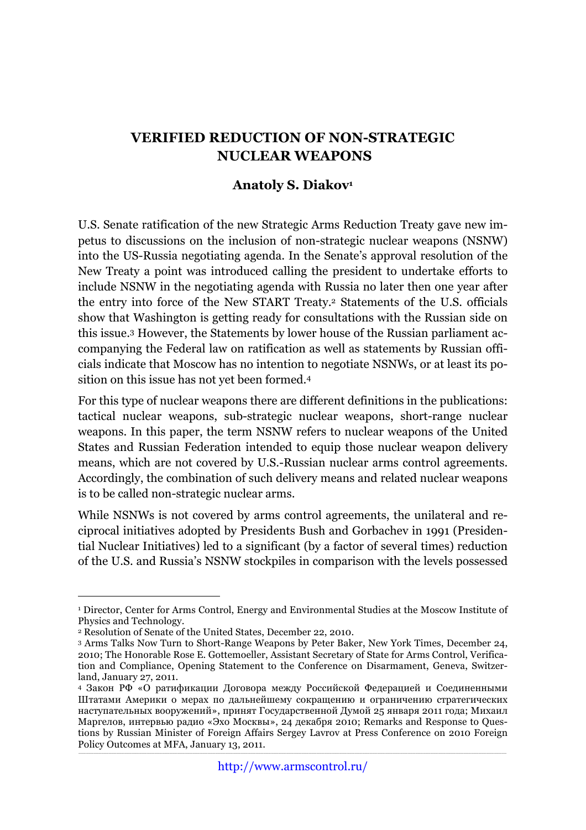## **VERIFIED REDUCTION OF NON-STRATEGIC NUCLEAR WEAPONS**

## **Anatoly S. Diakov1**

U.S. Senate ratification of the new Strategic Arms Reduction Treaty gave new impetus to discussions on the inclusion of non-strategic nuclear weapons (NSNW) into the US-Russia negotiating agenda. In the Senate's approval resolution of the New Treaty a point was introduced calling the president to undertake efforts to include NSNW in the negotiating agenda with Russia no later then one year after the entry into force of the New START Treaty.2 Statements of the U.S. officials show that Washington is getting ready for consultations with the Russian side on this issue.3 However, the Statements by lower house of the Russian parliament accompanying the Federal law on ratification as well as statements by Russian officials indicate that Moscow has no intention to negotiate NSNWs, or at least its position on this issue has not yet been formed.4

For this type of nuclear weapons there are different definitions in the publications: tactical nuclear weapons, sub-strategic nuclear weapons, short-range nuclear weapons. In this paper, the term NSNW refers to nuclear weapons of the United States and Russian Federation intended to equip those nuclear weapon delivery means, which are not covered by U.S.-Russian nuclear arms control agreements. Accordingly, the combination of such delivery means and related nuclear weapons is to be called non-strategic nuclear arms.

While NSNWs is not covered by arms control agreements, the unilateral and reciprocal initiatives adopted by Presidents Bush and Gorbachev in 1991 (Presidential Nuclear Initiatives) led to a significant (by a factor of several times) reduction of the U.S. and Russia's NSNW stockpiles in comparison with the levels possessed

 <sup>1</sup> Director, Center for Arms Control, Energy and Environmental Studies at the Moscow Institute of Physics and Technology.

<sup>2</sup> Resolution of Senate of the United States, December 22, 2010.

<sup>3</sup> Arms Talks Now Turn to Short-Range Weapons by Peter Baker, New York Times, December 24, 2010; The Honorable Rose E. Gottemoeller, Assistant Secretary of State for Arms Control, Verification and Compliance, Opening Statement to the Conference on Disarmament, Geneva, Switzerland, January 27, 2011.

\_\_\_\_\_\_\_\_\_\_\_\_\_\_\_\_\_\_\_\_\_\_\_\_\_\_\_\_\_\_\_\_\_\_\_\_\_\_\_\_\_\_\_\_\_\_\_\_\_\_\_\_\_\_\_\_\_\_\_\_\_\_\_\_\_\_\_\_\_\_\_\_\_\_\_\_\_\_\_\_\_\_\_\_\_\_\_\_\_\_\_\_\_\_\_\_\_\_\_\_\_\_\_\_\_\_\_\_\_\_\_\_\_\_\_\_\_\_\_\_\_\_\_\_\_\_\_\_\_\_\_\_\_\_\_\_\_\_\_\_\_\_\_\_\_\_\_\_\_\_\_\_\_\_\_\_\_\_\_\_\_\_\_\_\_\_\_\_\_ <sup>4</sup> Закон РФ «О ратификации Договора между Российской Федерацией и Соединенными Штатами Америки о мерах по дальнейшему сокращению и ограничению стратегических наступательных вооружений», принят Государственной Думой 25 января 2011 года; Михаил Маргелов, интервью радио «Эхо Москвы», 24 декабря 2010; Remarks and Response to Questions by Russian Minister of Foreign Affairs Sergey Lavrov at Press Conference on 2010 Foreign Policy Outcomes at MFA, January 13, 2011.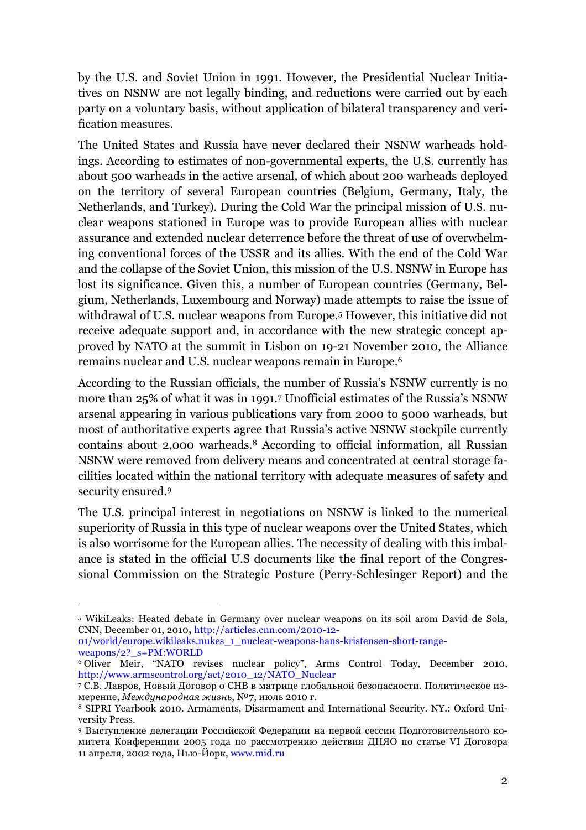by the U.S. and Soviet Union in 1991. However, the Presidential Nuclear Initiatives on NSNW are not legally binding, and reductions were carried out by each party on a voluntary basis, without application of bilateral transparency and verification measures.

The United States and Russia have never declared their NSNW warheads holdings. According to estimates of non-governmental experts, the U.S. currently has about 500 warheads in the active arsenal, of which about 200 warheads deployed on the territory of several European countries (Belgium, Germany, Italy, the Netherlands, and Turkey). During the Cold War the principal mission of U.S. nuclear weapons stationed in Europe was to provide European allies with nuclear assurance and extended nuclear deterrence before the threat of use of overwhelming conventional forces of the USSR and its allies. With the end of the Cold War and the collapse of the Soviet Union, this mission of the U.S. NSNW in Europe has lost its significance. Given this, a number of European countries (Germany, Belgium, Netherlands, Luxembourg and Norway) made attempts to raise the issue of withdrawal of U.S. nuclear weapons from Europe.5 However, this initiative did not receive adequate support and, in accordance with the new strategic concept approved by NATO at the summit in Lisbon on 19-21 November 2010, the Alliance remains nuclear and U.S. nuclear weapons remain in Europe.6

According to the Russian officials, the number of Russia's NSNW currently is no more than 25% of what it was in 1991.7 Unofficial estimates of the Russia's NSNW arsenal appearing in various publications vary from 2000 to 5000 warheads, but most of authoritative experts agree that Russia's active NSNW stockpile currently contains about 2,000 warheads.8 According to official information, all Russian NSNW were removed from delivery means and concentrated at central storage facilities located within the national territory with adequate measures of safety and security ensured.9

The U.S. principal interest in negotiations on NSNW is linked to the numerical superiority of Russia in this type of nuclear weapons over the United States, which is also worrisome for the European allies. The necessity of dealing with this imbalance is stated in the official U.S documents like the final report of the Congressional Commission on the Strategic Posture (Perry-Schlesinger Report) and the

 <sup>5</sup> WikiLeaks: Heated debate in Germany over nuclear weapons on its soil <sup>а</sup>rom David de Sola, CNN, December 01, 2010**,** http://articles.cnn.com/2010-12-

<sup>01/</sup>world/europe.wikileaks.nukes\_1\_nuclear-weapons-hans-kristensen-short-rangeweapons/2?\_s=PM:WORLD

<sup>6</sup> Oliver Meir, "NATO revises nuclear policy", Arms Control Today, December 2010, http://www.armscontrol.org/act/2010\_12/NATO\_Nuclear

<sup>7</sup> С.В. Лавров, Новый Договор о СНВ в матрице глобальной безопасности. Политическое измерение, *Международная жизнь*, №7, июль 2010 г.

<sup>8</sup> SIPRI Yearbook 2010. Armaments, Disarmament and International Security. NY.: Oxford University Press.

<sup>9</sup> Выступление делегации Российской Федерации на первой сессии Подготовительного комитета Конференции 2005 года по рассмотрению действия ДНЯО по статье VI Договора 11 апреля, 2002 года, Нью-Йорк, www.mid.ru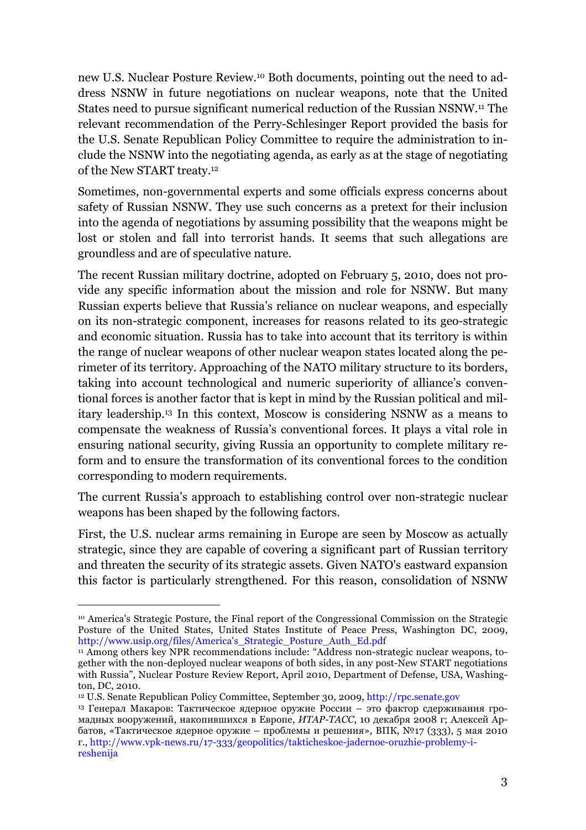new U.S. Nuclear Posture Review.10 Both documents, pointing out the need to address NSNW in future negotiations on nuclear weapons, note that the United States need to pursue significant numerical reduction of the Russian NSNW.11 The relevant recommendation of the Perry-Schlesinger Report provided the basis for the U.S. Senate Republican Policy Committee to require the administration to include the NSNW into the negotiating agenda, as early as at the stage of negotiating of the New START treaty.12

Sometimes, non-governmental experts and some officials express concerns about safety of Russian NSNW. They use such concerns as a pretext for their inclusion into the agenda of negotiations by assuming possibility that the weapons might be lost or stolen and fall into terrorist hands. It seems that such allegations are groundless and are of speculative nature.

The recent Russian military doctrine, adopted on February 5, 2010, does not provide any specific information about the mission and role for NSNW. But many Russian experts believe that Russia's reliance on nuclear weapons, and especially on its non-strategic component, increases for reasons related to its geo-strategic and economic situation. Russia has to take into account that its territory is within the range of nuclear weapons of other nuclear weapon states located along the perimeter of its territory. Approaching of the NATO military structure to its borders, taking into account technological and numeric superiority of alliance's conventional forces is another factor that is kept in mind by the Russian political and military leadership.13 In this context, Moscow is considering NSNW as a means to compensate the weakness of Russia's conventional forces. It plays a vital role in ensuring national security, giving Russia an opportunity to complete military reform and to ensure the transformation of its conventional forces to the condition corresponding to modern requirements.

The current Russia's approach to establishing control over non-strategic nuclear weapons has been shaped by the following factors.

First, the U.S. nuclear arms remaining in Europe are seen by Moscow as actually strategic, since they are capable of covering a significant part of Russian territory and threaten the security of its strategic assets. Given NATO's eastward expansion this factor is particularly strengthened. For this reason, consolidation of NSNW

 <sup>10</sup> America's Strategic Posture, the Final report of the Congressional Commission on the Strategic Posture of the United States, United States Institute of Peace Press, Washington DC, 2009, http://www.usip.org/files/America's\_Strategic\_Posture\_Auth\_Ed.pdf

<sup>&</sup>lt;sup>11</sup> Among others key NPR recommendations include: "Address non-strategic nuclear weapons, together with the non-deployed nuclear weapons of both sides, in any post-New START negotiations with Russia", Nuclear Posture Review Report, April 2010, Department of Defense, USA, Washington, DC, 2010.

<sup>12</sup> U.S. Senate Republican Policy Committee, September 30, 2009, http://rpc.senate.gov

<sup>13</sup> Генерал Макаров: Тактическое ядерное оружие России – это фактор сдерживания громадных вооружений, накопившихся в Европе, *ИТАР-ТАСС*, 10 декабря 2008 г; Алексей Арбатов, «Тактическое ядерное оружие – проблемы и решения», ВПК, №17 (333), 5 мая 2010 г., http://www.vpk-news.ru/17-333/geopolitics/takticheskoe-jadernoe-oruzhie-problemy-ireshenija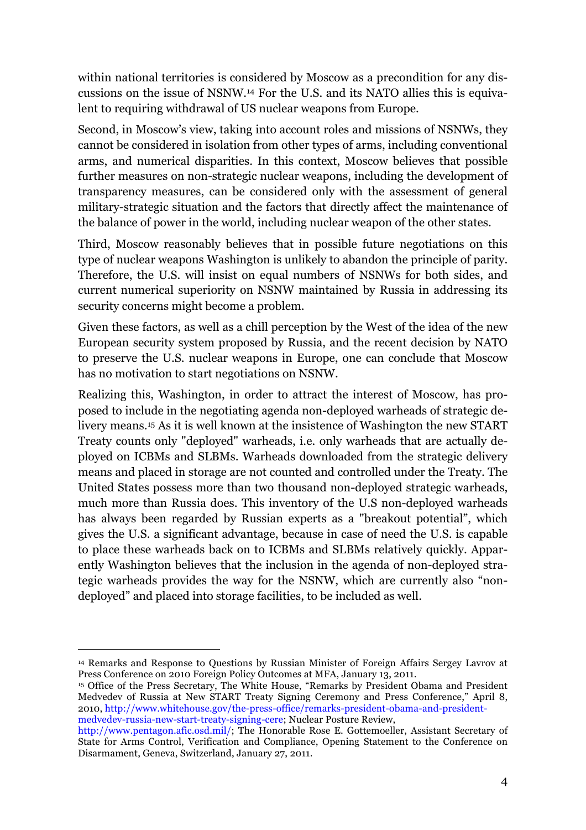within national territories is considered by Moscow as a precondition for any discussions on the issue of NSNW.14 For the U.S. and its NATO allies this is equivalent to requiring withdrawal of US nuclear weapons from Europe.

Second, in Moscow's view, taking into account roles and missions of NSNWs, they cannot be considered in isolation from other types of arms, including conventional arms, and numerical disparities. In this context, Moscow believes that possible further measures on non-strategic nuclear weapons, including the development of transparency measures, can be considered only with the assessment of general military-strategic situation and the factors that directly affect the maintenance of the balance of power in the world, including nuclear weapon of the other states.

Third, Moscow reasonably believes that in possible future negotiations on this type of nuclear weapons Washington is unlikely to abandon the principle of parity. Therefore, the U.S. will insist on equal numbers of NSNWs for both sides, and current numerical superiority on NSNW maintained by Russia in addressing its security concerns might become a problem.

Given these factors, as well as a chill perception by the West of the idea of the new European security system proposed by Russia, and the recent decision by NATO to preserve the U.S. nuclear weapons in Europe, one can conclude that Moscow has no motivation to start negotiations on NSNW.

Realizing this, Washington, in order to attract the interest of Moscow, has proposed to include in the negotiating agenda non-deployed warheads of strategic delivery means.15 As it is well known at the insistence of Washington the new START Treaty counts only "deployed" warheads, i.e. only warheads that are actually deployed on ICBMs and SLBMs. Warheads downloaded from the strategic delivery means and placed in storage are not counted and controlled under the Treaty. The United States possess more than two thousand non-deployed strategic warheads, much more than Russia does. This inventory of the U.S non-deployed warheads has always been regarded by Russian experts as a "breakout potential", which gives the U.S. a significant advantage, because in case of need the U.S. is capable to place these warheads back on to ICBMs and SLBMs relatively quickly. Apparently Washington believes that the inclusion in the agenda of non-deployed strategic warheads provides the way for the NSNW, which are currently also "nondeployed" and placed into storage facilities, to be included as well.

<sup>15</sup> Office of the Press Secretary, The White House, "Remarks by President Obama and President Medvedev of Russia at New START Treaty Signing Ceremony and Press Conference," April 8, 2010, http://www.whitehouse.gov/the-press-office/remarks-president-obama-and-presidentmedvedev-russia-new-start-treaty-signing-cere; Nuclear Posture Review,

 <sup>14</sup> Remarks and Response to Questions by Russian Minister of Foreign Affairs Sergey Lavrov at Press Conference on 2010 Foreign Policy Outcomes at MFA, January 13, 2011.

http://www.pentagon.afic.osd.mil/; The Honorable Rose E. Gottemoeller, Assistant Secretary of State for Arms Control, Verification and Compliance, Opening Statement to the Conference on Disarmament, Geneva, Switzerland, January 27, 2011.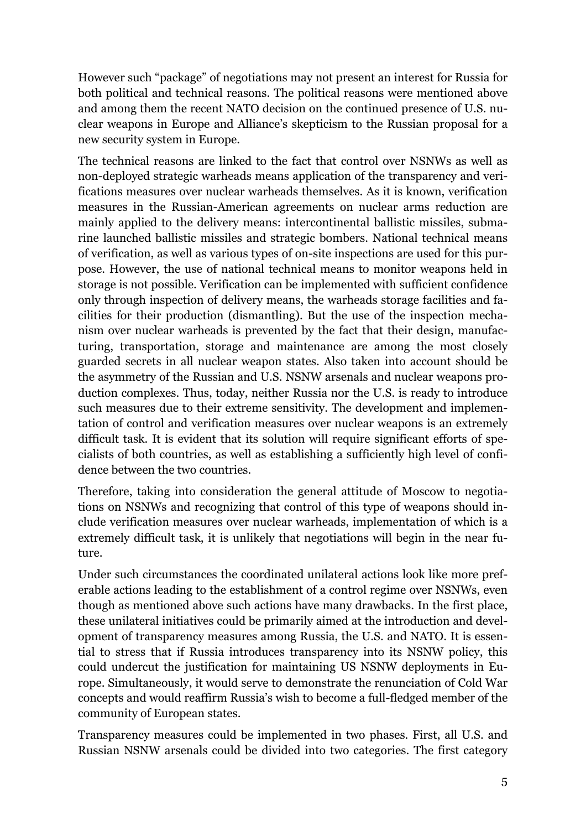However such "package" of negotiations may not present an interest for Russia for both political and technical reasons. The political reasons were mentioned above and among them the recent NATO decision on the continued presence of U.S. nuclear weapons in Europe and Alliance's skepticism to the Russian proposal for a new security system in Europe.

The technical reasons are linked to the fact that control over NSNWs as well as non-deployed strategic warheads means application of the transparency and verifications measures over nuclear warheads themselves. As it is known, verification measures in the Russian-American agreements on nuclear arms reduction are mainly applied to the delivery means: intercontinental ballistic missiles, submarine launched ballistic missiles and strategic bombers. National technical means of verification, as well as various types of on-site inspections are used for this purpose. However, the use of national technical means to monitor weapons held in storage is not possible. Verification can be implemented with sufficient confidence only through inspection of delivery means, the warheads storage facilities and facilities for their production (dismantling). But the use of the inspection mechanism over nuclear warheads is prevented by the fact that their design, manufacturing, transportation, storage and maintenance are among the most closely guarded secrets in all nuclear weapon states. Also taken into account should be the asymmetry of the Russian and U.S. NSNW arsenals and nuclear weapons production complexes. Thus, today, neither Russia nor the U.S. is ready to introduce such measures due to their extreme sensitivity. The development and implementation of control and verification measures over nuclear weapons is an extremely difficult task. It is evident that its solution will require significant efforts of specialists of both countries, as well as establishing a sufficiently high level of confidence between the two countries.

Therefore, taking into consideration the general attitude of Moscow to negotiations on NSNWs and recognizing that control of this type of weapons should include verification measures over nuclear warheads, implementation of which is a extremely difficult task, it is unlikely that negotiations will begin in the near future.

Under such circumstances the coordinated unilateral actions look like more preferable actions leading to the establishment of a control regime over NSNWs, even though as mentioned above such actions have many drawbacks. In the first place, these unilateral initiatives could be primarily aimed at the introduction and development of transparency measures among Russia, the U.S. and NATO. It is essential to stress that if Russia introduces transparency into its NSNW policy, this could undercut the justification for maintaining US NSNW deployments in Europe. Simultaneously, it would serve to demonstrate the renunciation of Cold War concepts and would reaffirm Russia's wish to become a full-fledged member of the community of European states.

Transparency measures could be implemented in two phases. First, all U.S. and Russian NSNW arsenals could be divided into two categories. The first category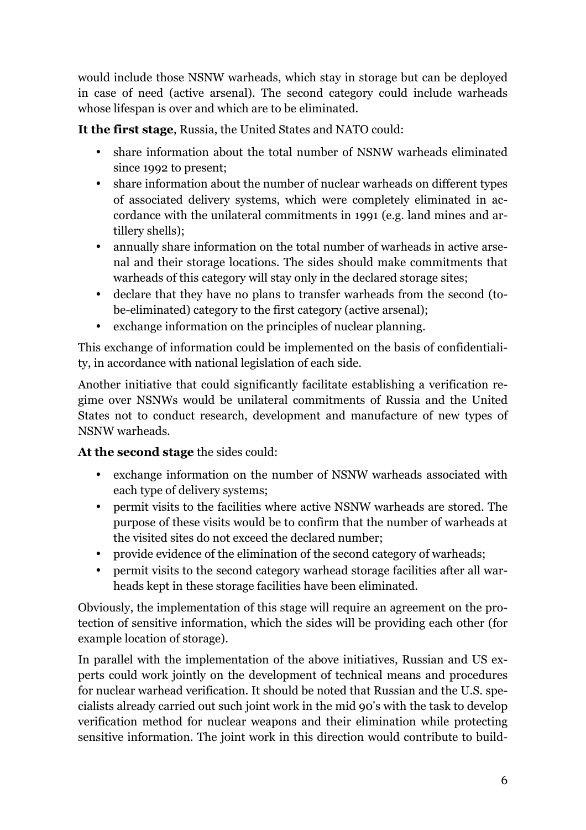would include those NSNW warheads, which stay in storage but can be deployed in case of need (active arsenal). The second category could include warheads whose lifespan is over and which are to be eliminated.

**It the first stage**, Russia, the United States and NATO could:

- share information about the total number of NSNW warheads eliminated since 1992 to present;
- share information about the number of nuclear warheads on different types of associated delivery systems, which were completely eliminated in accordance with the unilateral commitments in 1991 (e.g. land mines and artillery shells);
- annually share information on the total number of warheads in active arsenal and their storage locations. The sides should make commitments that warheads of this category will stay only in the declared storage sites;
- declare that they have no plans to transfer warheads from the second (tobe-eliminated) category to the first category (active arsenal);
- exchange information on the principles of nuclear planning.

This exchange of information could be implemented on the basis of confidentiality, in accordance with national legislation of each side.

Another initiative that could significantly facilitate establishing a verification regime over NSNWs would be unilateral commitments of Russia and the United States not to conduct research, development and manufacture of new types of NSNW warheads.

**At the second stage** the sides could:

- exchange information on the number of NSNW warheads associated with each type of delivery systems;
- permit visits to the facilities where active NSNW warheads are stored. The purpose of these visits would be to confirm that the number of warheads at the visited sites do not exceed the declared number;
- provide evidence of the elimination of the second category of warheads;
- permit visits to the second category warhead storage facilities after all warheads kept in these storage facilities have been eliminated.

Obviously, the implementation of this stage will require an agreement on the protection of sensitive information, which the sides will be providing each other (for example location of storage).

In parallel with the implementation of the above initiatives, Russian and US experts could work jointly on the development of technical means and procedures for nuclear warhead verification. It should be noted that Russian and the U.S. specialists already carried out such joint work in the mid 90's with the task to develop verification method for nuclear weapons and their elimination while protecting sensitive information. The joint work in this direction would contribute to build